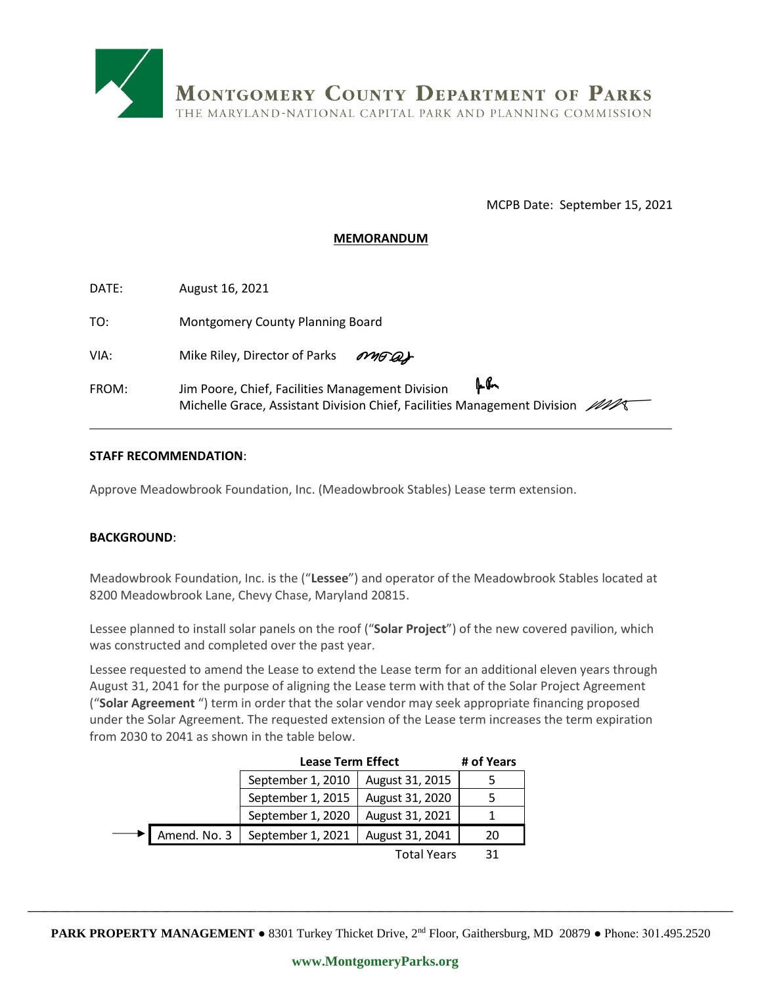

MCPB Date: September 15, 2021

## **MEMORANDUM**

| DATE: | August 16, 2021                                         |  |  |
|-------|---------------------------------------------------------|--|--|
| TO:   | Montgomery County Planning Board                        |  |  |
| VIA:  | Mike Riley, Director of Parks<br>MAGAS                  |  |  |
| FROM: | แใ∼<br>Jim Poore, Chief, Facilities Management Division |  |  |

## **STAFF RECOMMENDATION**:

Approve Meadowbrook Foundation, Inc. (Meadowbrook Stables) Lease term extension.

## **BACKGROUND**:

Meadowbrook Foundation, Inc. is the ("**Lessee**") and operator of the Meadowbrook Stables located at 8200 Meadowbrook Lane, Chevy Chase, Maryland 20815.

Lessee planned to install solar panels on the roof ("**Solar Project**") of the new covered pavilion, which was constructed and completed over the past year.

Lessee requested to amend the Lease to extend the Lease term for an additional eleven years through August 31, 2041 for the purpose of aligning the Lease term with that of the Solar Project Agreement ("**Solar Agreement** ") term in order that the solar vendor may seek appropriate financing proposed under the Solar Agreement. The requested extension of the Lease term increases the term expiration from 2030 to 2041 as shown in the table below.

| m 2030 to 2041 as shown in the table below. |              |                   |                    |            |  |
|---------------------------------------------|--------------|-------------------|--------------------|------------|--|
| <b>Lease Term Effect</b>                    |              |                   |                    | # of Years |  |
|                                             |              | September 1, 2010 | August 31, 2015    |            |  |
|                                             |              | September 1, 2015 | August 31, 2020    | 5          |  |
|                                             |              | September 1, 2020 | August 31, 2021    |            |  |
|                                             | Amend. No. 3 | September 1, 2021 | August 31, 2041    | 20         |  |
|                                             |              |                   | <b>Total Years</b> | 31         |  |

**\_\_\_\_\_\_\_\_\_\_\_\_\_\_\_\_\_\_\_\_\_\_\_\_\_\_\_\_\_\_\_\_\_\_\_\_\_\_\_\_\_\_\_\_\_\_\_\_\_\_\_\_\_\_\_\_\_\_\_\_\_\_\_\_\_\_\_\_\_\_\_\_\_\_\_\_\_\_\_\_\_\_\_\_\_\_\_\_\_\_\_\_\_\_\_\_\_\_\_\_\_\_\_\_\_\_\_\_\_\_\_\_\_\_\_\_\_\_\_\_\_\_\_\_\_\_**